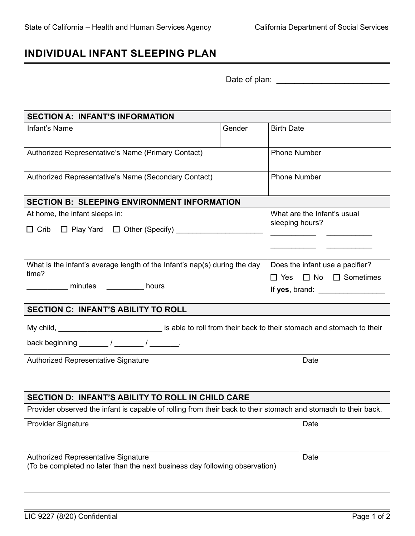## **INDIVIDUAL INFANT SLEEPING PLAN**

| Date of plan: |  |  |  |  |  |  |  |
|---------------|--|--|--|--|--|--|--|
|               |  |  |  |  |  |  |  |

| <b>SECTION A: INFANT'S INFORMATION</b>                                                                             |        |                     |                                                                                                                                                                        |  |  |  |  |
|--------------------------------------------------------------------------------------------------------------------|--------|---------------------|------------------------------------------------------------------------------------------------------------------------------------------------------------------------|--|--|--|--|
| Infant's Name                                                                                                      | Gender | <b>Birth Date</b>   |                                                                                                                                                                        |  |  |  |  |
| Authorized Representative's Name (Primary Contact)                                                                 |        |                     | <b>Phone Number</b>                                                                                                                                                    |  |  |  |  |
| Authorized Representative's Name (Secondary Contact)                                                               |        | <b>Phone Number</b> |                                                                                                                                                                        |  |  |  |  |
| <b>SECTION B: SLEEPING ENVIRONMENT INFORMATION</b>                                                                 |        |                     |                                                                                                                                                                        |  |  |  |  |
| At home, the infant sleeps in:                                                                                     |        |                     | What are the Infant's usual<br>sleeping hours?<br><u> Alexandria de la contrada de la contrada de la contrada de la contrada de la contrada de la contrada de la c</u> |  |  |  |  |
| What is the infant's average length of the Infant's nap(s) during the day<br>time?<br>minutes ___________ hours    |        |                     | Does the infant use a pacifier?<br>$\Box$ Yes $\Box$ No $\Box$ Sometimes<br>If yes, brand: __________________                                                          |  |  |  |  |
| <b>SECTION C: INFANT'S ABILITY TO ROLL</b>                                                                         |        |                     |                                                                                                                                                                        |  |  |  |  |
| My child, _________________________________ is able to roll from their back to their stomach and stomach to their  |        |                     |                                                                                                                                                                        |  |  |  |  |
| Authorized Representative Signature                                                                                |        | Date                |                                                                                                                                                                        |  |  |  |  |
| SECTION D: INFANT'S ABILITY TO ROLL IN CHILD CARE                                                                  |        |                     |                                                                                                                                                                        |  |  |  |  |
| Provider observed the infant is capable of rolling from their back to their stomach and stomach to their back.     |        |                     |                                                                                                                                                                        |  |  |  |  |
| <b>Provider Signature</b>                                                                                          |        |                     | Date                                                                                                                                                                   |  |  |  |  |
| Authorized Representative Signature<br>(To be completed no later than the next business day following observation) |        |                     | Date                                                                                                                                                                   |  |  |  |  |